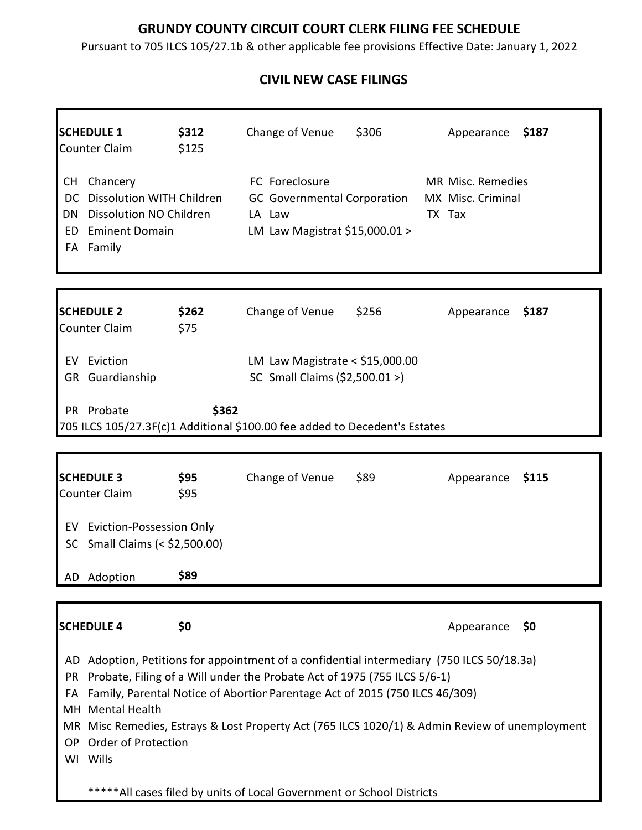## **GRUNDY COUNTY CIRCUIT COURT CLERK FILING FEE SCHEDULE**

Pursuant to 705 ILCS 105/27.1b & other applicable fee provisions Effective Date: January 1, 2022

## **CIVIL NEW CASE FILINGS**

| <b>SCHEDULE 1</b><br><b>Counter Claim</b>                                                                                                                                                                                                                                                                                                                                                                                                | \$312<br>\$125 | Change of Venue                                                                                  | \$306 | Appearance                                       | \$187 |
|------------------------------------------------------------------------------------------------------------------------------------------------------------------------------------------------------------------------------------------------------------------------------------------------------------------------------------------------------------------------------------------------------------------------------------------|----------------|--------------------------------------------------------------------------------------------------|-------|--------------------------------------------------|-------|
| Chancery<br>CH<br>DC Dissolution WITH Children<br>Dissolution NO Children<br>DN.<br><b>Eminent Domain</b><br>ED.<br>FA Family                                                                                                                                                                                                                                                                                                            |                | FC Foreclosure<br><b>GC</b> Governmental Corporation<br>LA Law<br>LM Law Magistrat \$15,000.01 > |       | MR Misc. Remedies<br>MX Misc. Criminal<br>TX Tax |       |
| <b>SCHEDULE 2</b><br><b>Counter Claim</b>                                                                                                                                                                                                                                                                                                                                                                                                | \$262<br>\$75  | Change of Venue                                                                                  | \$256 | Appearance                                       | \$187 |
| <b>EV</b> Eviction<br>GR Guardianship                                                                                                                                                                                                                                                                                                                                                                                                    |                | LM Law Magistrate < $$15,000.00$<br>SC Small Claims (\$2,500.01 >)                               |       |                                                  |       |
| PR Probate<br>705 ILCS 105/27.3F(c)1 Additional \$100.00 fee added to Decedent's Estates                                                                                                                                                                                                                                                                                                                                                 | \$362          |                                                                                                  |       |                                                  |       |
| <b>SCHEDULE 3</b><br>Counter Claim                                                                                                                                                                                                                                                                                                                                                                                                       | \$95<br>\$95   | Change of Venue                                                                                  | \$89  | Appearance                                       | \$115 |
| EV Eviction-Possession Only<br>Small Claims (< \$2,500.00)<br>SC.                                                                                                                                                                                                                                                                                                                                                                        |                |                                                                                                  |       |                                                  |       |
| AD Adoption                                                                                                                                                                                                                                                                                                                                                                                                                              | \$89           |                                                                                                  |       |                                                  |       |
| <b>SCHEDULE 4</b>                                                                                                                                                                                                                                                                                                                                                                                                                        | \$0            |                                                                                                  |       | Appearance                                       | \$0   |
| Adoption, Petitions for appointment of a confidential intermediary (750 ILCS 50/18.3a)<br>AD.<br>Probate, Filing of a Will under the Probate Act of 1975 (755 ILCS 5/6-1)<br>PR.<br>Family, Parental Notice of Abortion Parentage Act of 2015 (750 ILCS 46/309)<br>FA<br>MH Mental Health<br>MR Misc Remedies, Estrays & Lost Property Act (765 ILCS 1020/1) & Admin Review of unemployment<br>Order of Protection<br>OP.<br>Wills<br>WI |                |                                                                                                  |       |                                                  |       |
|                                                                                                                                                                                                                                                                                                                                                                                                                                          |                | *****All cases filed by units of Local Government or School Districts                            |       |                                                  |       |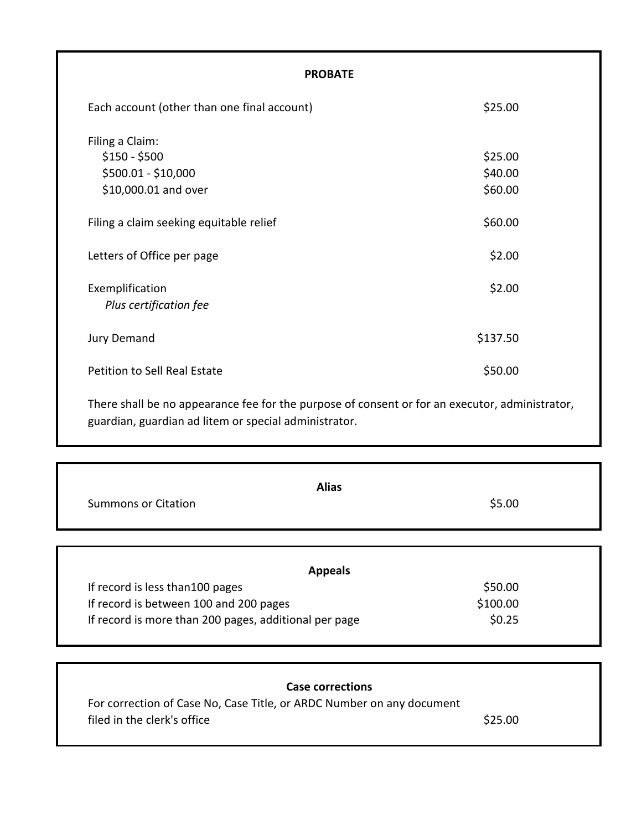| <b>PROBATE</b>                                                                                 |          |
|------------------------------------------------------------------------------------------------|----------|
| Each account (other than one final account)                                                    | \$25.00  |
| Filing a Claim:                                                                                |          |
| $$150 - $500$                                                                                  | \$25.00  |
| \$500.01 - \$10,000                                                                            | \$40.00  |
| \$10,000.01 and over                                                                           | \$60.00  |
| Filing a claim seeking equitable relief                                                        | \$60.00  |
| Letters of Office per page                                                                     | \$2.00   |
| Exemplification<br>Plus certification fee                                                      | \$2.00   |
| Jury Demand                                                                                    | \$137.50 |
| Petition to Sell Real Estate                                                                   | \$50.00  |
| There shall be no appearance fee for the purpose of consent or for an executor, administrator, |          |

guardian, guardian ad litem or special administrator.

Г

ī

| <b>Alias</b>                                          |          |
|-------------------------------------------------------|----------|
| <b>Summons or Citation</b>                            | \$5.00   |
|                                                       |          |
| <b>Appeals</b>                                        |          |
| If record is less than 100 pages                      | \$50.00  |
| If record is between 100 and 200 pages                | \$100.00 |
| If record is more than 200 pages, additional per page | \$0.25   |

| For correction of Case No, Case Title, or ARDC Number on any document |
|-----------------------------------------------------------------------|
| \$25.00                                                               |
|                                                                       |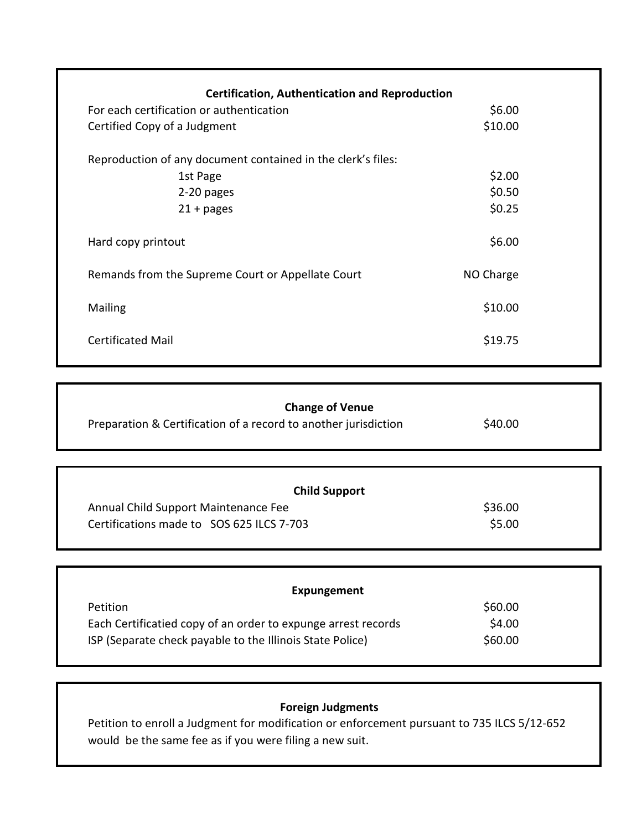| <b>Certification, Authentication and Reproduction</b>        |           |  |
|--------------------------------------------------------------|-----------|--|
| For each certification or authentication                     | \$6.00    |  |
| Certified Copy of a Judgment                                 | \$10.00   |  |
| Reproduction of any document contained in the clerk's files: |           |  |
| 1st Page                                                     | \$2.00    |  |
| 2-20 pages                                                   | \$0.50    |  |
| $21 + pages$                                                 | \$0.25    |  |
| Hard copy printout                                           | \$6.00    |  |
| Remands from the Supreme Court or Appellate Court            | NO Charge |  |
| Mailing                                                      | \$10.00   |  |
| <b>Certificated Mail</b>                                     | \$19.75   |  |

| <b>Change of Venue</b>                                          |         |  |
|-----------------------------------------------------------------|---------|--|
| Preparation & Certification of a record to another jurisdiction | \$40.00 |  |

| <b>Child Support</b>                      |         |
|-------------------------------------------|---------|
| Annual Child Support Maintenance Fee      | \$36.00 |
| Certifications made to SOS 625 ILCS 7-703 | \$5.00  |

| Expungement                                                   |         |
|---------------------------------------------------------------|---------|
| <b>Petition</b>                                               | \$60.00 |
| Each Certificatied copy of an order to expunge arrest records | \$4.00  |
| ISP (Separate check payable to the Illinois State Police)     | \$60.00 |

## **Foreign Judgments**

Petition to enroll a Judgment for modification or enforcement pursuant to 735 ILCS 5/12-652 would be the same fee as if you were filing a new suit.